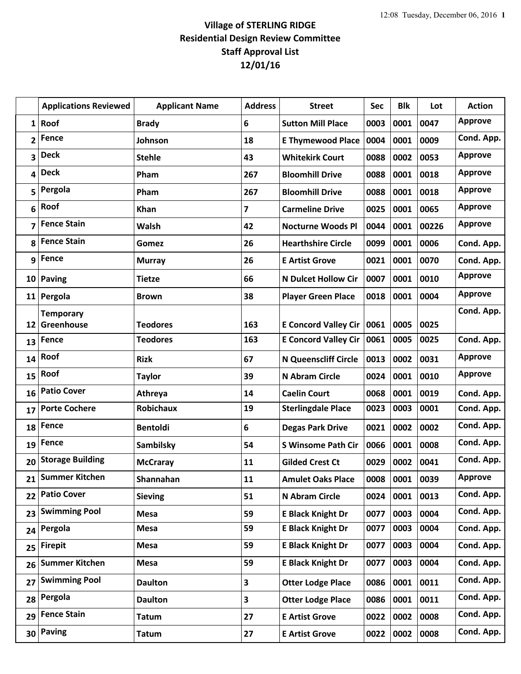## **Village of STERLING RIDGE Residential Design Review Committee Staff Approval List 12/01/16**

|    | <b>Applications Reviewed</b> | <b>Applicant Name</b>              | <b>Address</b>          | <b>Street</b>                                              | Sec          | <b>Blk</b>   | Lot          | <b>Action</b>  |
|----|------------------------------|------------------------------------|-------------------------|------------------------------------------------------------|--------------|--------------|--------------|----------------|
| 1  | Roof                         | <b>Brady</b>                       | 6                       | <b>Sutton Mill Place</b>                                   | 0003         | 0001         | 0047         | <b>Approve</b> |
| 2  | <b>Fence</b>                 | Johnson                            | 18                      | <b>E Thymewood Place</b>                                   | 0004         | 0001         | 0009         | Cond. App.     |
| 3  | <b>Deck</b>                  | <b>Stehle</b>                      | 43                      | <b>Whitekirk Court</b>                                     | 0088         | 0002         | 0053         | <b>Approve</b> |
| 4  | <b>Deck</b>                  | Pham                               | 267                     | <b>Bloomhill Drive</b>                                     | 0088         | 0001         | 0018         | <b>Approve</b> |
| 5  | Pergola                      | Pham                               | 267                     | <b>Bloomhill Drive</b>                                     | 0088         | 0001         | 0018         | <b>Approve</b> |
| 6  | Roof                         | Khan                               | 7                       | <b>Carmeline Drive</b>                                     | 0025         | 0001         | 0065         | <b>Approve</b> |
| 7  | <b>Fence Stain</b>           | Walsh                              | 42                      | <b>Nocturne Woods Pl</b>                                   | 0044         | 0001         | 00226        | <b>Approve</b> |
| 8  | <b>Fence Stain</b>           | Gomez                              | 26                      | <b>Hearthshire Circle</b>                                  | 0099         | 0001         | 0006         | Cond. App.     |
| 9  | Fence                        | <b>Murray</b>                      | 26                      | <b>E Artist Grove</b>                                      | 0021         | 0001         | 0070         | Cond. App.     |
|    | 10 Paving                    | <b>Tietze</b>                      | 66                      | <b>N Dulcet Hollow Cir</b>                                 | 0007         | 0001         | 0010         | <b>Approve</b> |
|    | 11 Pergola                   | <b>Brown</b>                       | 38                      | <b>Player Green Place</b>                                  | 0018         | 0001         | 0004         | <b>Approve</b> |
|    | <b>Temporary</b>             |                                    |                         |                                                            |              |              |              | Cond. App.     |
| 12 | Greenhouse<br><b>Fence</b>   | <b>Teodores</b><br><b>Teodores</b> | 163<br>163              | <b>E Concord Valley Cir</b><br><b>E Concord Valley Cir</b> | 0061<br>0061 | 0005<br>0005 | 0025<br>0025 | Cond. App.     |
| 13 | Roof                         |                                    |                         |                                                            |              |              |              | <b>Approve</b> |
| 14 | Roof                         | <b>Rizk</b>                        | 67                      | <b>N Queenscliff Circle</b>                                | 0013         | 0002         | 0031         | <b>Approve</b> |
| 15 | <b>Patio Cover</b>           | <b>Taylor</b>                      | 39                      | N Abram Circle                                             | 0024         | 0001         | 0010         |                |
| 16 | <b>Porte Cochere</b>         | Athreya<br><b>Robichaux</b>        | 14<br>19                | <b>Caelin Court</b>                                        | 0068<br>0023 | 0001<br>0003 | 0019<br>0001 | Cond. App.     |
| 17 |                              |                                    |                         | <b>Sterlingdale Place</b>                                  |              |              |              | Cond. App.     |
| 18 | Fence                        | <b>Bentoldi</b>                    | 6                       | <b>Degas Park Drive</b>                                    | 0021         | 0002         | 0002         | Cond. App.     |
| 19 | Fence                        | Sambilsky                          | 54                      | <b>S Winsome Path Cir</b>                                  | 0066         | 0001         | 0008         | Cond. App.     |
| 20 | <b>Storage Building</b>      | <b>McCraray</b>                    | 11                      | <b>Gilded Crest Ct</b>                                     | 0029         | 0002         | 0041         | Cond. App.     |
| 21 | <b>Summer Kitchen</b>        | Shannahan                          | 11                      | <b>Amulet Oaks Place</b>                                   |              | 0008 0001    | 0039         | <b>Approve</b> |
| 22 | <b>Patio Cover</b>           | <b>Sieving</b>                     | 51                      | N Abram Circle                                             | 0024         | 0001         | 0013         | Cond. App.     |
| 23 | <b>Swimming Pool</b>         | <b>Mesa</b>                        | 59                      | <b>E Black Knight Dr</b>                                   | 0077         | 0003         | 0004         | Cond. App.     |
| 24 | Pergola                      | <b>Mesa</b>                        | 59                      | <b>E Black Knight Dr</b>                                   | 0077         | 0003         | 0004         | Cond. App.     |
| 25 | <b>Firepit</b>               | <b>Mesa</b>                        | 59                      | <b>E Black Knight Dr</b>                                   | 0077         | 0003         | 0004         | Cond. App.     |
| 26 | <b>Summer Kitchen</b>        | Mesa                               | 59                      | <b>E Black Knight Dr</b>                                   | 0077         | 0003         | 0004         | Cond. App.     |
| 27 | <b>Swimming Pool</b>         | <b>Daulton</b>                     | 3                       | <b>Otter Lodge Place</b>                                   | 0086         | 0001         | 0011         | Cond. App.     |
| 28 | Pergola                      | <b>Daulton</b>                     | $\overline{\mathbf{3}}$ | <b>Otter Lodge Place</b>                                   | 0086         | 0001         | 0011         | Cond. App.     |
| 29 | <b>Fence Stain</b>           | <b>Tatum</b>                       | 27                      | <b>E Artist Grove</b>                                      | 0022         | 0002         | 0008         | Cond. App.     |
| 30 | <b>Paving</b>                | <b>Tatum</b>                       | 27                      | <b>E Artist Grove</b>                                      | 0022         | 0002         | 0008         | Cond. App.     |